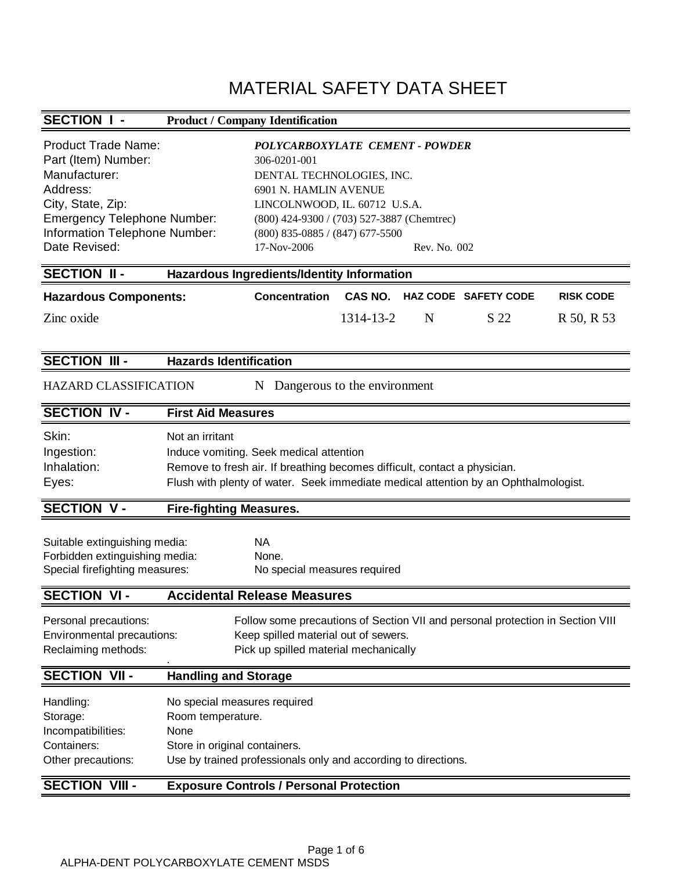# MATERIAL SAFETY DATA SHEET

## **SECTION I - Product / Company Identification**

| <b>Product Trade Name:</b><br>Part (Item) Number:<br>Manufacturer:<br>Address:<br>City, State, Zip:<br><b>Emergency Telephone Number:</b><br>Information Telephone Number: |                                                                                                                                                                                                                                | POLYCARBOXYLATE CEMENT - POWDER<br>306-0201-001<br>DENTAL TECHNOLOGIES, INC.<br>6901 N. HAMLIN AVENUE<br>LINCOLNWOOD, IL. 60712 U.S.A.<br>(800) 424-9300 / (703) 527-3887 (Chemtrec)<br>$(800)$ 835-0885 / (847) 677-5500 |                |              |                             |                  |
|----------------------------------------------------------------------------------------------------------------------------------------------------------------------------|--------------------------------------------------------------------------------------------------------------------------------------------------------------------------------------------------------------------------------|---------------------------------------------------------------------------------------------------------------------------------------------------------------------------------------------------------------------------|----------------|--------------|-----------------------------|------------------|
| Date Revised:                                                                                                                                                              |                                                                                                                                                                                                                                | 17-Nov-2006                                                                                                                                                                                                               |                | Rev. No. 002 |                             |                  |
| <b>SECTION II-</b>                                                                                                                                                         |                                                                                                                                                                                                                                | Hazardous Ingredients/Identity Information                                                                                                                                                                                |                |              |                             |                  |
| <b>Hazardous Components:</b>                                                                                                                                               |                                                                                                                                                                                                                                | Concentration                                                                                                                                                                                                             | <b>CAS NO.</b> |              | <b>HAZ CODE SAFETY CODE</b> | <b>RISK CODE</b> |
| Zinc oxide                                                                                                                                                                 |                                                                                                                                                                                                                                |                                                                                                                                                                                                                           | 1314-13-2      | N            | S 22                        | R 50, R 53       |
| <b>SECTION III -</b>                                                                                                                                                       | <b>Hazards Identification</b>                                                                                                                                                                                                  |                                                                                                                                                                                                                           |                |              |                             |                  |
| <b>HAZARD CLASSIFICATION</b>                                                                                                                                               |                                                                                                                                                                                                                                | N Dangerous to the environment                                                                                                                                                                                            |                |              |                             |                  |
| <b>SECTION IV-</b>                                                                                                                                                         | <b>First Aid Measures</b>                                                                                                                                                                                                      |                                                                                                                                                                                                                           |                |              |                             |                  |
| Skin:<br>Ingestion:<br>Inhalation:<br>Eyes:                                                                                                                                | Not an irritant<br>Induce vomiting. Seek medical attention<br>Remove to fresh air. If breathing becomes difficult, contact a physician.<br>Flush with plenty of water. Seek immediate medical attention by an Ophthalmologist. |                                                                                                                                                                                                                           |                |              |                             |                  |
| <b>SECTION V-</b>                                                                                                                                                          | <b>Fire-fighting Measures.</b>                                                                                                                                                                                                 |                                                                                                                                                                                                                           |                |              |                             |                  |
| Suitable extinguishing media:<br>Forbidden extinguishing media:<br>Special firefighting measures:                                                                          |                                                                                                                                                                                                                                | <b>NA</b><br>None.<br>No special measures required                                                                                                                                                                        |                |              |                             |                  |
| <b>SECTION VI-</b>                                                                                                                                                         |                                                                                                                                                                                                                                | <b>Accidental Release Measures</b>                                                                                                                                                                                        |                |              |                             |                  |
| Personal precautions:<br>Environmental precautions:<br>Reclaiming methods:                                                                                                 |                                                                                                                                                                                                                                | Follow some precautions of Section VII and personal protection in Section VIII<br>Keep spilled material out of sewers.<br>Pick up spilled material mechanically                                                           |                |              |                             |                  |
| <b>SECTION VII-</b>                                                                                                                                                        | <b>Handling and Storage</b>                                                                                                                                                                                                    |                                                                                                                                                                                                                           |                |              |                             |                  |
| Handling:<br>Storage:<br>Incompatibilities:<br>Containers:<br>Other precautions:                                                                                           | No special measures required<br>Room temperature.<br>None<br>Store in original containers.                                                                                                                                     | Use by trained professionals only and according to directions.                                                                                                                                                            |                |              |                             |                  |
| <b>SECTION VIII-</b>                                                                                                                                                       |                                                                                                                                                                                                                                | <b>Exposure Controls / Personal Protection</b>                                                                                                                                                                            |                |              |                             |                  |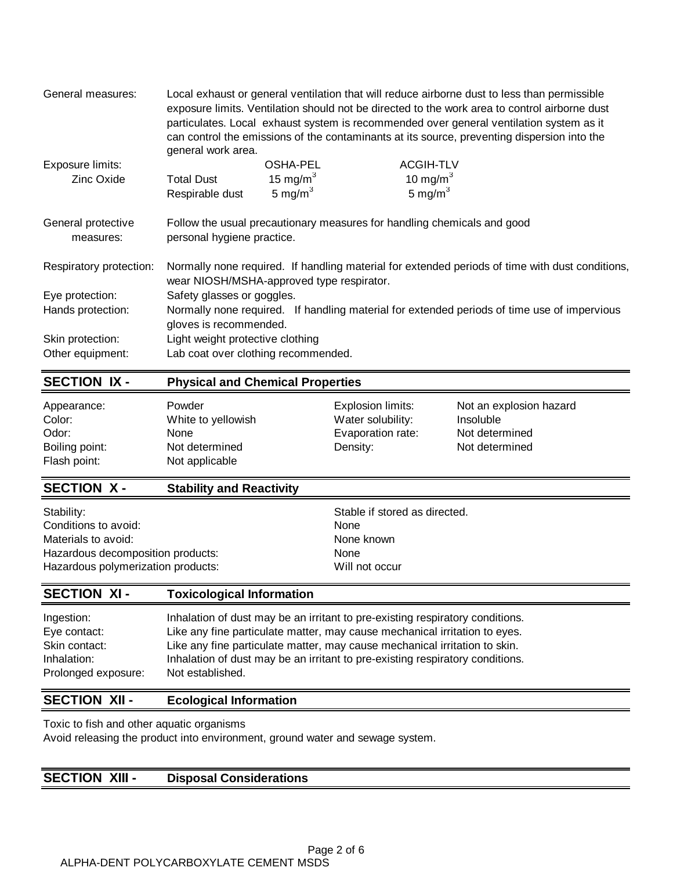| General measures:               | Local exhaust or general ventilation that will reduce airborne dust to less than permissible<br>exposure limits. Ventilation should not be directed to the work area to control airborne dust<br>particulates. Local exhaust system is recommended over general ventilation system as it<br>can control the emissions of the contaminants at its source, preventing dispersion into the<br>general work area. |             |                                                                                                 |  |
|---------------------------------|---------------------------------------------------------------------------------------------------------------------------------------------------------------------------------------------------------------------------------------------------------------------------------------------------------------------------------------------------------------------------------------------------------------|-------------|-------------------------------------------------------------------------------------------------|--|
| Exposure limits:                |                                                                                                                                                                                                                                                                                                                                                                                                               | OSHA-PEL    | <b>ACGIH-TLV</b>                                                                                |  |
| Zinc Oxide                      | <b>Total Dust</b>                                                                                                                                                                                                                                                                                                                                                                                             | 15 mg/m $3$ | 10 mg/m $3$                                                                                     |  |
|                                 | Respirable dust                                                                                                                                                                                                                                                                                                                                                                                               | 5 mg/m $3$  | 5 mg/ $m3$                                                                                      |  |
| General protective<br>measures: | personal hygiene practice.                                                                                                                                                                                                                                                                                                                                                                                    |             | Follow the usual precautionary measures for handling chemicals and good                         |  |
| Respiratory protection:         | wear NIOSH/MSHA-approved type respirator.                                                                                                                                                                                                                                                                                                                                                                     |             | Normally none required. If handling material for extended periods of time with dust conditions, |  |
| Eye protection:                 | Safety glasses or goggles.                                                                                                                                                                                                                                                                                                                                                                                    |             |                                                                                                 |  |
| Hands protection:               | Normally none required. If handling material for extended periods of time use of impervious<br>gloves is recommended.                                                                                                                                                                                                                                                                                         |             |                                                                                                 |  |
| Skin protection:                | Light weight protective clothing                                                                                                                                                                                                                                                                                                                                                                              |             |                                                                                                 |  |
| Other equipment:                | Lab coat over clothing recommended.                                                                                                                                                                                                                                                                                                                                                                           |             |                                                                                                 |  |

#### **SECTION IX - Physical and Chemical Properties**

| Odor:<br>Evaporation rate:<br>Not determined<br>None<br>Boiling point:<br>Not determined<br>Not determined<br>Density:<br>Flash point:<br>Not applicable |  |
|----------------------------------------------------------------------------------------------------------------------------------------------------------|--|
|----------------------------------------------------------------------------------------------------------------------------------------------------------|--|

## **SECTION X - Stability and Reactivity**

| Stable if stored as directed. |
|-------------------------------|
| <b>None</b>                   |
| None known                    |
| None                          |
| Will not occur                |
|                               |

## **SECTION XI - Toxicological Information**

| Ingestion:          | Inhalation of dust may be an irritant to pre-existing respiratory conditions. |
|---------------------|-------------------------------------------------------------------------------|
| Eye contact:        | Like any fine particulate matter, may cause mechanical irritation to eyes.    |
| Skin contact:       | Like any fine particulate matter, may cause mechanical irritation to skin.    |
| Inhalation:         | Inhalation of dust may be an irritant to pre-existing respiratory conditions. |
| Prolonged exposure: | Not established.                                                              |

## **SECTION XII - Ecological Information**

Toxic to fish and other aquatic organisms

Avoid releasing the product into environment, ground water and sewage system.

#### **SECTION XIII - Disposal Considerations**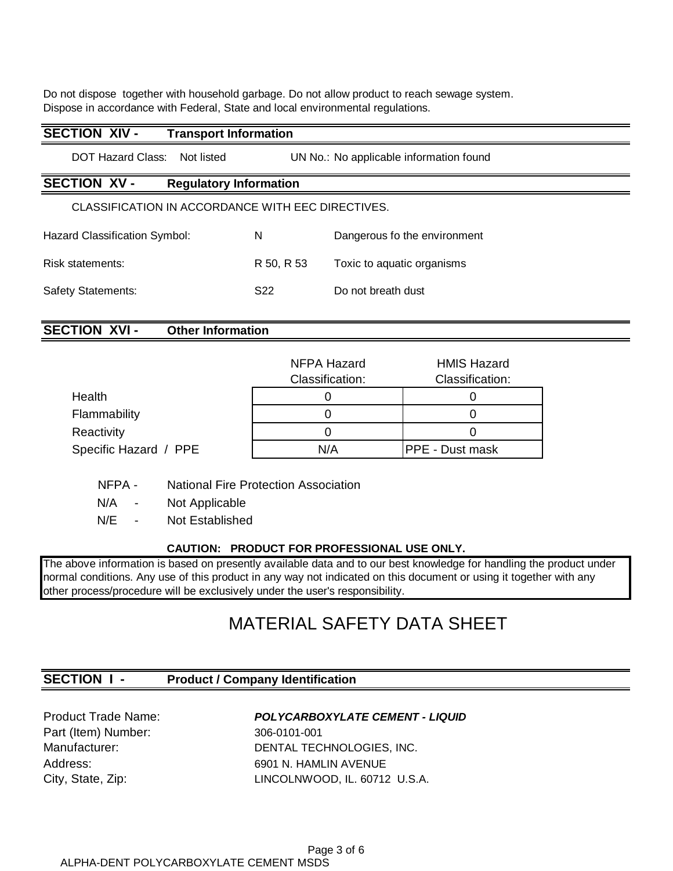Do not dispose together with household garbage. Do not allow product to reach sewage system. Dispose in accordance with Federal, State and local environmental regulations.

| <b>SECTION XIV -</b><br><b>Transport Information</b>                       |                 |                              |  |
|----------------------------------------------------------------------------|-----------------|------------------------------|--|
| DOT Hazard Class:<br>Not listed<br>UN No.: No applicable information found |                 |                              |  |
| <b>SECTION XV-</b><br><b>Regulatory Information</b>                        |                 |                              |  |
| CLASSIFICATION IN ACCORDANCE WITH EEC DIRECTIVES.                          |                 |                              |  |
| Hazard Classification Symbol:                                              | N               | Dangerous fo the environment |  |
| Risk statements:                                                           | R 50, R 53      | Toxic to aquatic organisms   |  |
| <b>Safety Statements:</b>                                                  | S <sub>22</sub> | Do not breath dust           |  |
|                                                                            |                 |                              |  |

## **SECTION XVI - Other Information**

|                       | NFPA Hazard<br>Classification: | <b>HMIS Hazard</b><br>Classification: |
|-----------------------|--------------------------------|---------------------------------------|
| Health                |                                |                                       |
| Flammability          |                                |                                       |
| Reactivity            |                                |                                       |
| Specific Hazard / PPE | N/A                            | <b>PPE - Dust mask</b>                |

NFPA - National Fire Protection Association

N/A - Not Applicable

N/E - Not Established

#### **CAUTION: PRODUCT FOR PROFESSIONAL USE ONLY.**

The above information is based on presently available data and to our best knowledge for handling the product under normal conditions. Any use of this product in any way not indicated on this document or using it together with any other process/procedure will be exclusively under the user's responsibility.

## MATERIAL SAFETY DATA SHEET

### **SECTION I - Product / Company Identification**

Part (Item) Number: 306-0101-001

#### Product Trade Name: **POLYCARBOXYLATE CEMENT - LIQUID**

Manufacturer: DENTAL TECHNOLOGIES, INC. Address: 6901 N. HAMLIN AVENUE City, State, Zip: LINCOLNWOOD, IL. 60712 U.S.A.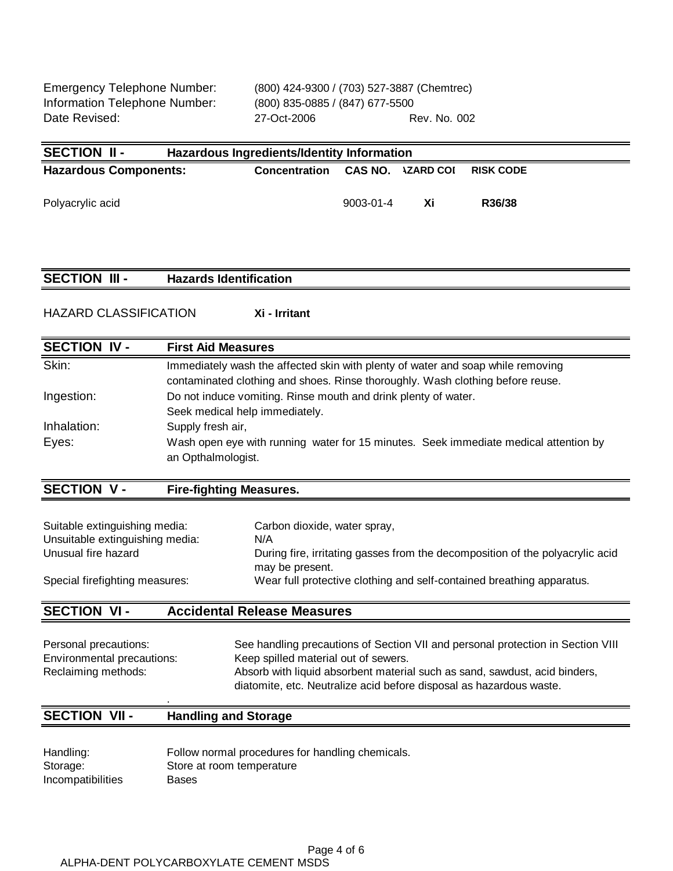Information Telephone Number: (800) 835-0885 / (847) 677-5500

| SECTION II -                 | Hazardous Ingredients/Identity Information |                          |                  |  |
|------------------------------|--------------------------------------------|--------------------------|------------------|--|
| <b>Hazardous Components:</b> | <b>Concentration</b>                       | <b>CAS NO. \ZARD COI</b> | <b>RISK CODE</b> |  |
| Polyacrylic acid             | 9003-01-4                                  | Xi                       | R36/38           |  |

#### **SECTION III - Hazards Identification**

HAZARD CLASSIFICATION **Xi - Irritant**

| <b>First Aid Measures</b>                                                                                  |
|------------------------------------------------------------------------------------------------------------|
|                                                                                                            |
| Immediately wash the affected skin with plenty of water and soap while removing                            |
| contaminated clothing and shoes. Rinse thoroughly. Wash clothing before reuse.                             |
| Do not induce vomiting. Rinse mouth and drink plenty of water.                                             |
| Seek medical help immediately.                                                                             |
| Supply fresh air,                                                                                          |
| Wash open eye with running water for 15 minutes. Seek immediate medical attention by<br>an Opthalmologist. |
|                                                                                                            |

## **SECTION V - Fire-fighting Measures.**

| Suitable extinguishing media:   | Carbon dioxide, water spray,                                                                     |
|---------------------------------|--------------------------------------------------------------------------------------------------|
| Unsuitable extinguishing media: | N/A                                                                                              |
| Unusual fire hazard             | During fire, irritating gasses from the decomposition of the polyacrylic acid<br>may be present. |
| Special firefighting measures:  | Wear full protective clothing and self-contained breathing apparatus.                            |

## **SECTION VI - Accidental Release Measures**

| Personal precautions:      | See handling precautions of Section VII and personal protection in Section VIII |
|----------------------------|---------------------------------------------------------------------------------|
| Environmental precautions: | Keep spilled material out of sewers.                                            |
| Reclaiming methods:        | Absorb with liquid absorbent material such as sand, sawdust, acid binders,      |
|                            | diatomite, etc. Neutralize acid before disposal as hazardous waste.             |

#### . **SECTION VII - Handling and Storage**

| Handling:         | Follow normal procedures for handling chemicals. |
|-------------------|--------------------------------------------------|
| Storage:          | Store at room temperature                        |
| Incompatibilities | Bases                                            |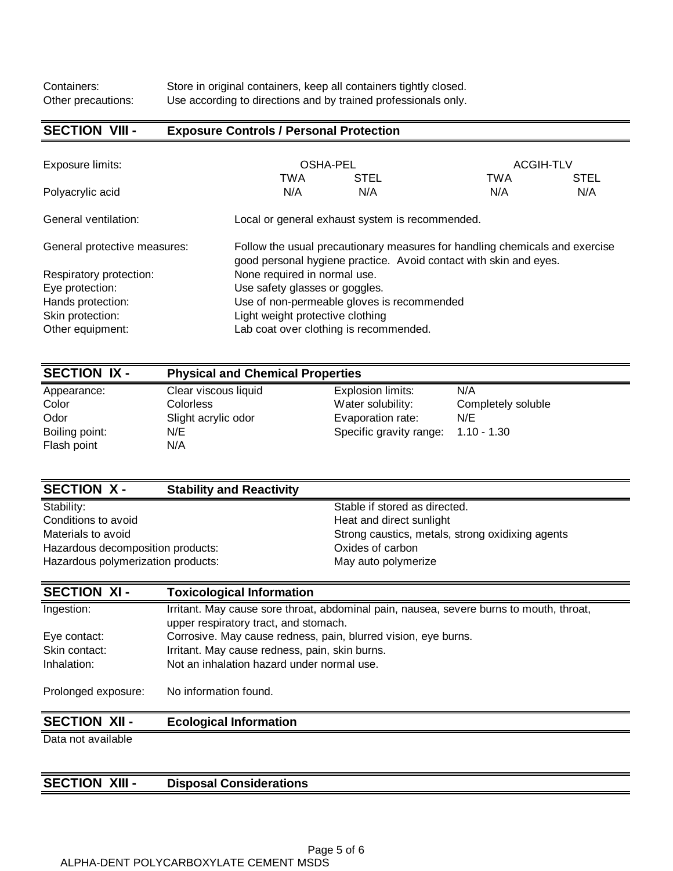## **SECTION VIII - Exposure Controls / Personal Protection**

| Exposure limits:             | <b>OSHA-PEL</b>                                                                                                                                  |             | <b>ACGIH-TLV</b> |             |
|------------------------------|--------------------------------------------------------------------------------------------------------------------------------------------------|-------------|------------------|-------------|
|                              | TWA                                                                                                                                              | <b>STEL</b> | <b>TWA</b>       | <b>STEL</b> |
| Polyacrylic acid             | N/A                                                                                                                                              | N/A         | N/A              | N/A         |
| General ventilation:         | Local or general exhaust system is recommended.                                                                                                  |             |                  |             |
| General protective measures: | Follow the usual precautionary measures for handling chemicals and exercise<br>good personal hygiene practice. Avoid contact with skin and eyes. |             |                  |             |
| Respiratory protection:      | None required in normal use.                                                                                                                     |             |                  |             |
| Eye protection:              | Use safety glasses or goggles.                                                                                                                   |             |                  |             |
| Hands protection:            | Use of non-permeable gloves is recommended                                                                                                       |             |                  |             |
| Skin protection:             | Light weight protective clothing                                                                                                                 |             |                  |             |
| Other equipment:             | Lab coat over clothing is recommended.                                                                                                           |             |                  |             |

| <b>SECTION IX -</b> |                      | <b>Physical and Chemical Properties</b> |                    |  |  |
|---------------------|----------------------|-----------------------------------------|--------------------|--|--|
| Appearance:         | Clear viscous liquid | Explosion limits:                       | N/A                |  |  |
| Color               | <b>Colorless</b>     | Water solubility:                       | Completely soluble |  |  |
| Odor                | Slight acrylic odor  | Evaporation rate:                       | N/E                |  |  |
| Boiling point:      | N/E                  | Specific gravity range: 1.10 - 1.30     |                    |  |  |
| Flash point         | N/A                  |                                         |                    |  |  |

| <b>SECTION X-</b>                  | <b>Stability and Reactivity</b> |                                                  |
|------------------------------------|---------------------------------|--------------------------------------------------|
| Stability:                         |                                 | Stable if stored as directed.                    |
| Conditions to avoid                |                                 | Heat and direct sunlight                         |
| Materials to avoid                 |                                 | Strong caustics, metals, strong oxidixing agents |
| Hazardous decomposition products:  |                                 | Oxides of carbon                                 |
| Hazardous polymerization products: |                                 | May auto polymerize                              |

| <b>SECTION XI-</b>  | <b>Toxicological Information</b>                                                                                                 |
|---------------------|----------------------------------------------------------------------------------------------------------------------------------|
| Ingestion:          | Irritant. May cause sore throat, abdominal pain, nausea, severe burns to mouth, throat,<br>upper respiratory tract, and stomach. |
| Eye contact:        | Corrosive. May cause redness, pain, blurred vision, eye burns.                                                                   |
| Skin contact:       | Irritant. May cause redness, pain, skin burns.                                                                                   |
| Inhalation:         | Not an inhalation hazard under normal use.                                                                                       |
| Prolonged exposure: | No information found.                                                                                                            |

## **SECTION XII - Ecological Information**

Data not available

## **SECTION XIII - Disposal Considerations**